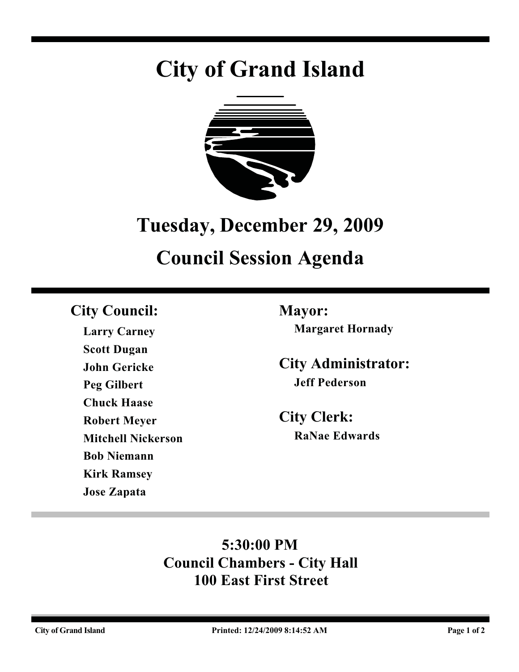# **City of Grand Island**



## **Tuesday, December 29, 2009**

## **Council Session Agenda**

## **City Council: Mayor:**

**Larry Carney Scott Dugan John Gericke Peg Gilbert Chuck Haase Robert Meyer Mitchell Nickerson Bob Niemann Kirk Ramsey Jose Zapata**

**Margaret Hornady**

**City Administrator: Jeff Pederson**

**City Clerk: RaNae Edwards**

## **5:30:00 PM Council Chambers - City Hall 100 East First Street**